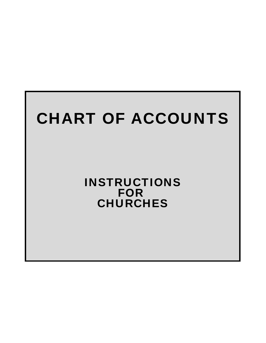# CHART OF ACCOUNTS

INSTRUCTIONS FOR CHURCHES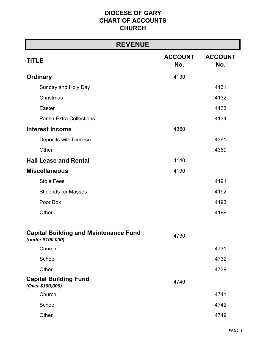# **REVENUE**

| <b>TITLE</b>                                                      | <b>ACCOUNT</b><br>No. | <b>ACCOUNT</b><br>No. |
|-------------------------------------------------------------------|-----------------------|-----------------------|
| <b>Ordinary</b>                                                   | 4130                  |                       |
| Sunday and Holy Day                                               |                       | 4131                  |
| Christmas                                                         |                       | 4132                  |
| Easter                                                            |                       | 4133                  |
| <b>Parish Extra Collections</b>                                   |                       | 4134                  |
| <b>Interest Income</b>                                            | 4360                  |                       |
| Deposits with Diocese                                             |                       | 4361                  |
| Other                                                             |                       | 4369                  |
| <b>Hall Lease and Rental</b>                                      | 4140                  |                       |
| <b>Miscellaneous</b>                                              | 4190                  |                       |
| <b>Stole Fees</b>                                                 |                       | 4191                  |
| <b>Stipends for Masses</b>                                        |                       | 4192                  |
| Poor Box                                                          |                       | 4193                  |
| Other                                                             |                       | 4199                  |
| <b>Capital Building and Maintenance Fund</b><br>(under \$100,000) | 4730                  |                       |
| Church                                                            |                       | 4731                  |
| School                                                            |                       | 4732                  |
| Other                                                             |                       | 4739                  |
| <b>Capital Building Fund</b><br>(Over \$100,000)                  | 4740                  |                       |
| Church                                                            |                       | 4741                  |
| School                                                            |                       | 4742                  |
| Other                                                             |                       | 4749                  |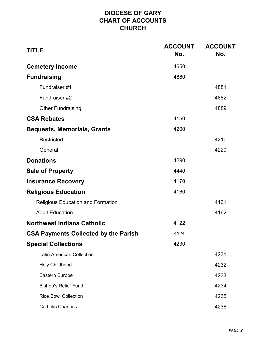| <b>TITLE</b>                                | <b>ACCOUNT</b><br>No. | <b>ACCOUNT</b><br>No. |
|---------------------------------------------|-----------------------|-----------------------|
| <b>Cemetery Income</b>                      | 4650                  |                       |
| <b>Fundraising</b>                          | 4880                  |                       |
| Fundraiser #1                               |                       | 4881                  |
| Fundraiser #2                               |                       | 4882                  |
| <b>Other Fundraising</b>                    |                       | 4889                  |
| <b>CSA Rebates</b>                          | 4150                  |                       |
| <b>Bequests, Memorials, Grants</b>          | 4200                  |                       |
| <b>Restricted</b>                           |                       | 4210                  |
| General                                     |                       | 4220                  |
| <b>Donations</b>                            | 4290                  |                       |
| <b>Sale of Property</b>                     | 4440                  |                       |
| <b>Insurance Recovery</b>                   | 4170                  |                       |
| <b>Religious Education</b>                  | 4160                  |                       |
| <b>Religious Education and Formation</b>    |                       | 4161                  |
| <b>Adult Education</b>                      |                       | 4162                  |
| <b>Northwest Indiana Catholic</b>           | 4122                  |                       |
| <b>CSA Payments Collected by the Parish</b> | 4124                  |                       |
| <b>Special Collections</b>                  | 4230                  |                       |
| <b>Latin American Collection</b>            |                       | 4231                  |
| <b>Holy Childhood</b>                       |                       | 4232                  |
| Eastern Europe                              |                       | 4233                  |
| <b>Bishop's Relief Fund</b>                 |                       | 4234                  |
| <b>Rice Bowl Collection</b>                 |                       | 4235                  |
| <b>Catholic Charities</b>                   |                       | 4236                  |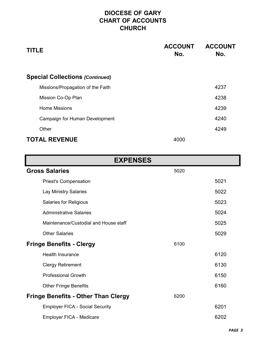| TITLE                                  | <b>ACCOUNT</b><br>No. | <b>ACCOUNT</b><br>No. |
|----------------------------------------|-----------------------|-----------------------|
| <b>Special Collections (Continued)</b> |                       |                       |
| Missions/Propagation of the Faith      |                       | 4237                  |
| Mission Co-Op Plan                     |                       | 4238                  |
| <b>Home Missions</b>                   |                       | 4239                  |
| Campaign for Human Development         |                       | 4240                  |
| Other                                  |                       | 4249                  |
| <b>TOTAL REVENUE</b>                   | 4000                  |                       |

| <b>EXPENSES</b>                            |      |      |
|--------------------------------------------|------|------|
| <b>Gross Salaries</b>                      | 5020 |      |
| <b>Priest's Compensation</b>               |      | 5021 |
| Lay Ministry Salaries                      |      | 5022 |
| <b>Salaries for Religious</b>              |      | 5023 |
| <b>Administrative Salaries</b>             |      | 5024 |
| Maintenance/Custodial and House staff      |      | 5025 |
| <b>Other Salaries</b>                      |      | 5029 |
| <b>Fringe Benefits - Clergy</b>            | 6100 |      |
| <b>Health Insurance</b>                    |      | 6120 |
| <b>Clergy Retirement</b>                   |      | 6130 |
| <b>Professional Growth</b>                 |      | 6150 |
| <b>Other Fringe Benefits</b>               |      | 6160 |
| <b>Fringe Benefits - Other Than Clergy</b> | 6200 |      |
| <b>Employer FICA - Social Security</b>     |      | 6201 |
| Employer FICA - Medicare                   |      | 6202 |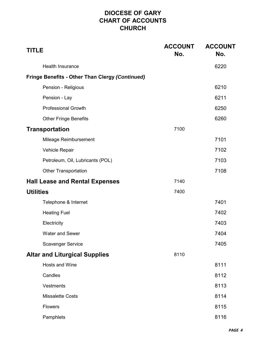| <b>TITLE</b>                                           | <b>ACCOUNT</b><br>No. | <b>ACCOUNT</b><br>No. |
|--------------------------------------------------------|-----------------------|-----------------------|
| <b>Health Insurance</b>                                |                       | 6220                  |
| <b>Fringe Benefits - Other Than Clergy (Continued)</b> |                       |                       |
| Pension - Religious                                    |                       | 6210                  |
| Pension - Lay                                          |                       | 6211                  |
| <b>Professional Growth</b>                             |                       | 6250                  |
| <b>Other Fringe Benefits</b>                           |                       | 6260                  |
| <b>Transportation</b>                                  | 7100                  |                       |
| Mileage Reimbursement                                  |                       | 7101                  |
| Vehicle Repair                                         |                       | 7102                  |
| Petroleum, Oil, Lubricants (POL)                       |                       | 7103                  |
| <b>Other Transportation</b>                            |                       | 7108                  |
| <b>Hall Lease and Rental Expenses</b>                  | 7140                  |                       |
| <b>Utilities</b>                                       | 7400                  |                       |
| Telephone & Internet                                   |                       | 7401                  |
| <b>Heating Fuel</b>                                    |                       | 7402                  |
| Electricity                                            |                       | 7403                  |
| <b>Water and Sewer</b>                                 |                       | 7404                  |
| <b>Scavenger Service</b>                               |                       | 7405                  |
| <b>Altar and Liturgical Supplies</b>                   | 8110                  |                       |
| Hosts and Wine                                         |                       | 8111                  |
| Candles                                                |                       | 8112                  |
| Vestments                                              |                       | 8113                  |
| <b>Missalette Costs</b>                                |                       | 8114                  |
| <b>Flowers</b>                                         |                       | 8115                  |
| Pamphlets                                              |                       | 8116                  |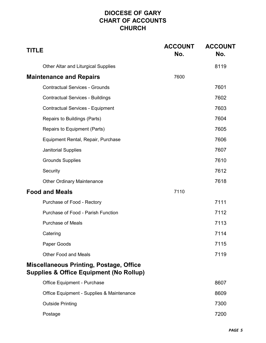| <b>TITLE</b>                                                                                         | <b>ACCOUNT</b><br>No. | <b>ACCOUNT</b><br>No. |
|------------------------------------------------------------------------------------------------------|-----------------------|-----------------------|
| <b>Other Altar and Liturgical Supplies</b>                                                           |                       | 8119                  |
| <b>Maintenance and Repairs</b>                                                                       | 7600                  |                       |
| <b>Contractual Services - Grounds</b>                                                                |                       | 7601                  |
| <b>Contractual Services - Buildings</b>                                                              |                       | 7602                  |
| <b>Contractual Services - Equipment</b>                                                              |                       | 7603                  |
| Repairs to Buildings (Parts)                                                                         |                       | 7604                  |
| Repairs to Equipment (Parts)                                                                         |                       | 7605                  |
| Equipment Rental, Repair, Purchase                                                                   |                       | 7606                  |
| <b>Janitorial Supplies</b>                                                                           |                       | 7607                  |
| <b>Grounds Supplies</b>                                                                              |                       | 7610                  |
| Security                                                                                             |                       | 7612                  |
| <b>Other Ordinary Maintenance</b>                                                                    |                       | 7618                  |
| <b>Food and Meals</b>                                                                                | 7110                  |                       |
| Purchase of Food - Rectory                                                                           |                       | 7111                  |
| Purchase of Food - Parish Function                                                                   |                       | 7112                  |
| <b>Purchase of Meals</b>                                                                             |                       | 7113                  |
| Catering                                                                                             |                       | 7114                  |
| Paper Goods                                                                                          |                       | 7115                  |
| <b>Other Food and Meals</b>                                                                          |                       | 7119                  |
| <b>Miscellaneous Printing, Postage, Office</b><br><b>Supplies &amp; Office Equipment (No Rollup)</b> |                       |                       |
| <b>Office Equipment - Purchase</b>                                                                   |                       | 8607                  |
| Office Equipment - Supplies & Maintenance                                                            |                       | 8609                  |
| <b>Outside Printing</b>                                                                              |                       | 7300                  |
| Postage                                                                                              |                       | 7200                  |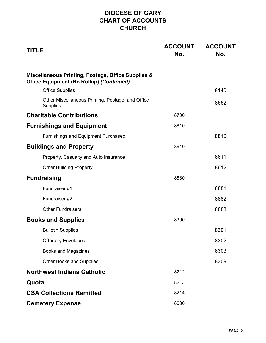| <b>TITLE</b>                                                                                          | <b>ACCOUNT</b><br>No. | <b>ACCOUNT</b><br>No. |
|-------------------------------------------------------------------------------------------------------|-----------------------|-----------------------|
| Miscellaneous Printing, Postage, Office Supplies &<br><b>Office Equipment (No Rollup) (Continued)</b> |                       |                       |
| <b>Office Supplies</b>                                                                                |                       | 8140                  |
| Other Miscellaneous Printing, Postage, and Office<br><b>Supplies</b>                                  |                       | 8662                  |
| <b>Charitable Contributions</b>                                                                       | 8700                  |                       |
| <b>Furnishings and Equipment</b>                                                                      | 8810                  |                       |
| <b>Furnishings and Equipment Purchased</b>                                                            |                       | 8810                  |
| <b>Buildings and Property</b>                                                                         | 8610                  |                       |
| Property, Casualty and Auto Insurance                                                                 |                       | 8611                  |
| <b>Other Building Property</b>                                                                        |                       | 8612                  |
| <b>Fundraising</b>                                                                                    | 8880                  |                       |
| Fundraiser #1                                                                                         |                       | 8881                  |
| Fundraiser #2                                                                                         |                       | 8882                  |
| <b>Other Fundraisers</b>                                                                              |                       | 8888                  |
| <b>Books and Supplies</b>                                                                             | 8300                  |                       |
| <b>Bulletin Supplies</b>                                                                              |                       | 8301                  |
| <b>Offertory Envelopes</b>                                                                            |                       | 8302                  |
| <b>Books and Magazines</b>                                                                            |                       | 8303                  |
| <b>Other Books and Supplies</b>                                                                       |                       | 8309                  |
| <b>Northwest Indiana Catholic</b>                                                                     | 8212                  |                       |
| Quota                                                                                                 | 8213                  |                       |
| <b>CSA Collections Remitted</b>                                                                       | 8214                  |                       |
| <b>Cemetery Expense</b>                                                                               | 8630                  |                       |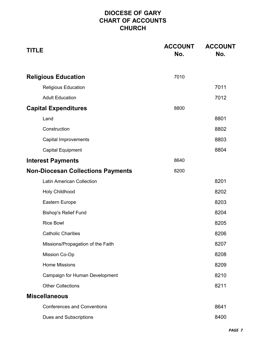| <b>TITLE</b>                             | <b>ACCOUNT</b><br>No. | <b>ACCOUNT</b><br>No. |
|------------------------------------------|-----------------------|-----------------------|
| <b>Religious Education</b>               | 7010                  |                       |
| <b>Religious Education</b>               |                       | 7011                  |
| <b>Adult Education</b>                   |                       | 7012                  |
| <b>Capital Expenditures</b>              | 8800                  |                       |
| Land                                     |                       | 8801                  |
| Construction                             |                       | 8802                  |
| <b>Capital Improvements</b>              |                       | 8803                  |
| <b>Capital Equipment</b>                 |                       | 8804                  |
| <b>Interest Payments</b>                 | 8640                  |                       |
| <b>Non-Diocesan Collections Payments</b> | 8200                  |                       |
| <b>Latin American Collection</b>         |                       | 8201                  |
| Holy Childhood                           |                       | 8202                  |
| Eastern Europe                           |                       | 8203                  |
| <b>Bishop's Relief Fund</b>              |                       | 8204                  |
| <b>Rice Bowl</b>                         |                       | 8205                  |
| <b>Catholic Charities</b>                |                       | 8206                  |
| Missions/Propagation of the Faith        |                       | 8207                  |
| Mission Co-Op                            |                       | 8208                  |
| <b>Home Missions</b>                     |                       | 8209                  |
| Campaign for Human Development           |                       | 8210                  |
| <b>Other Collections</b>                 |                       | 8211                  |
| <b>Miscellaneous</b>                     |                       |                       |
| <b>Conferences and Conventions</b>       |                       | 8641                  |
| Dues and Subscriptions                   |                       | 8400                  |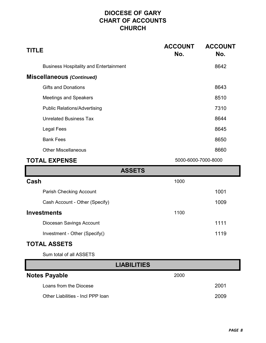| TITLE                                         | <b>ACCOUNT</b><br>No. | <b>ACCOUNT</b><br>No. |
|-----------------------------------------------|-----------------------|-----------------------|
| <b>Business Hospitality and Entertainment</b> |                       | 8642                  |
| <b>Miscellaneous (Continued)</b>              |                       |                       |
| <b>Gifts and Donations</b>                    |                       | 8643                  |
| <b>Meetings and Speakers</b>                  |                       | 8510                  |
| <b>Public Relations/Advertising</b>           |                       | 7310                  |
| <b>Unrelated Business Tax</b>                 |                       | 8644                  |
| <b>Legal Fees</b>                             |                       | 8645                  |
| <b>Bank Fees</b>                              |                       | 8650                  |
| <b>Other Miscellaneous</b>                    |                       | 8660                  |
| FVDFWAF<br>TAT AI                             | EAAA GAAA ZAAA AAAA   |                       |

## **TOTAL EXPENSE**

## 5000-6000-7000-8000

| <b>ASSETS</b>                  |      |      |
|--------------------------------|------|------|
| Cash                           | 1000 |      |
| Parish Checking Account        |      | 1001 |
| Cash Account - Other (Specify) |      | 1009 |
| <b>Investments</b>             | 1100 |      |
| Diocesan Savings Account       |      | 1111 |
| Investment - Other (Specify()  |      | 1119 |
|                                |      |      |

# **TOTAL ASSETS**

Sum total of all ASSETS

| <b>LIABILITIES</b>                |      |      |
|-----------------------------------|------|------|
| <b>Notes Payable</b>              | 2000 |      |
| Loans from the Diocese            |      | 2001 |
| Other Liabilities - Incl PPP loan |      | 2009 |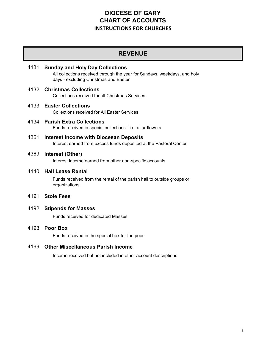## **REVENUE**

4131 **Sunday and Holy Day Collections** All collections received through the year for Sundays, weekdays, and holy days - excluding Christmas and Easter

#### 4132 **Christmas Collections**

Collections received for all Christmas Services

- 4133 **Easter Collections** Collections received for All Easter Services
- 4134 **Parish Extra Collections** Funds received in special collections - i.e. altar flowers
- 4361 **Interest Income with Diocesan Deposits** Interest earned from excess funds deposited at the Pastoral Center

#### 4369 **Interest (Other)**

Interest income earned from other non-specific accounts

#### 4140 **Hall Lease Rental**

Funds received from the rental of the parish hall to outside groups or organizations

#### 4191 **Stole Fees**

#### 4192 **Stipends for Masses**

Funds received for dedicated Masses

#### 4193 **Poor Box**

Funds received in the special box for the poor

#### 4199 **Other Miscellaneous Parish Income**

Income received but not included in other account descriptions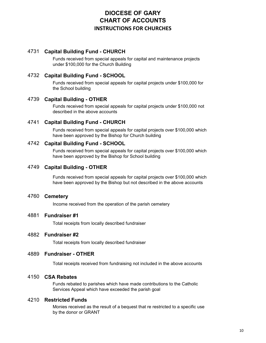#### 4731 **Capital Building Fund - CHURCH**

Funds received from special appeals for capital and maintenance projects under \$100,000 for the Church Building

#### 4732 **Capital Building Fund - SCHOOL**

Funds received from special appeals for capital projects under \$100,000 for the School building

#### 4739 **Capital Building - OTHER**

Funds received from special appeals for capital projects under \$100,000 not described in the above accounts

#### 4741 **Capital Building Fund - CHURCH**

Funds received from special appeals for capital projects over \$100,000 which have been approved by the Bishop for Church building

#### 4742 **Capital Building Fund - SCHOOL**

Funds received from special appeals for capital projects over \$100,000 which have been approved by the Bishop for School building

#### 4749 **Capital Building - OTHER**

Funds received from special appeals for capital projects over \$100,000 which have been approved by the Bishop but not described in the above accounts

#### 4760 **Cemetery**

Income received from the operation of the parish cemetery

#### 4881 **Fundraiser #1**

Total receipts from locally described fundraiser

#### 4882 **Fundraiser #2**

Total receipts from locally described fundraiser

#### 4889 **Fundraiser - OTHER**

Total receipts received from fundraising not included in the above accounts

#### 4150 **CSA Rebates**

Funds rebated to parishes which have made contributions to the Catholic Services Appeal which have exceeded the parish goal

#### 4210 **Restricted Funds**

Monies received as the result of a bequest that re restricted to a specific use by the donor or GRANT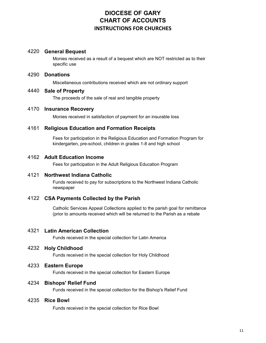#### 4220 **General Bequest**

Monies received as a result of a bequest which are NOT restricted as to their specific use

#### 4290 **Donations**

Miscellaneous contributions received which are not ordinary support

#### 4440 **Sale of Property**

The proceeds of the sale of real and tangible property

#### 4170 **Insurance Recovery**

Monies received in satisfaction of payment for an insurable loss

#### 4161 **Religious Education and Formation Receipts**

Fees for participation in the Religious Education and Formation Program for kindergarten, pre-school, children in grades 1-8 and high school

#### 4162 **Adult Education Income**

Fees for participation in the Adult Religious Education Program

#### 4121 **Northwest Indiana Catholic**

Funds received to pay for subscriptions to the Northwest Indiana Catholic newspaper

#### 4122 **CSA Payments Collected by the Parish**

Catholic Services Appeal Collections applied to the parish goal for remittance (prior to amounts received which will be returned to the Parish as a rebate

#### 4321 **Latin American Collection**

Funds received in the special collection for Latin America

#### 4232 **Holy Childhood**

Funds received in the special collection for Holy Childhood

#### 4233 **Eastern Europe**

Funds received in the special collection for Eastern Europe

#### 4234 **Bishops' Relief Fund**

Funds received in the special collection for the Bishop's Relief Fund

#### 4235 **Rice Bowl**

Funds received in the special collection for Rice Bowl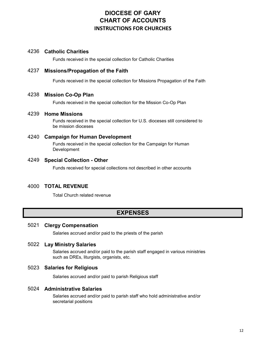#### 4236 **Catholic Charities**

Funds received in the special collection for Catholic Charities

#### 4237 **Missions/Propagation of the Faith**

Funds received in the special collection for Missions Propagation of the Faith

#### 4238 **Mission Co-Op Plan**

Funds received in the special collection for the Mission Co-Op Plan

#### 4239 **Home Missions**

Funds received in the special collection for U.S. dioceses still considered to be mission dioceses

#### 4240 **Campaign for Human Development**

Funds received in the special collection for the Campaign for Human Development

#### 4249 **Special Collection - Other**

Funds received for special collections not described in other accounts

#### 4000 **TOTAL REVENUE**

Total Church related revenue

## **EXPENSES**

#### 5021 **Clergy Compensation**

Salaries accrued and/or paid to the priests of the parish

#### 5022 **Lay Ministry Salaries**

Salaries accrued and/or paid to the parish staff engaged in various ministries such as DREs, liturgists, organists, etc.

#### 5023 **Salaries for Religious**

Salaries accrued and/or paid to parish Religious staff

#### 5024 **Administrative Salaries**

Salaries accrued and/or paid to parish staff who hold administrative and/or secretarial positions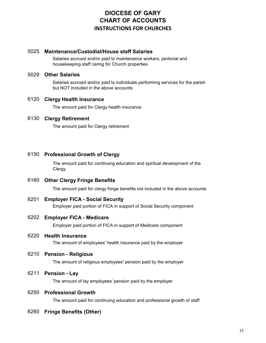#### 5025 **Maintenance/Custodial/House staff Salaries**

Salaries accrued and/or paid to maintenance workers, janitorial and housekeeping staff caring for Church properties

#### 5029 **Other Salaries**

Salaries accrued and/or paid to individuals performing services for the parish but NOT included in the above accounts

#### 6120 **Clergy Health Insurance**

The amount paid for Clergy health insurance

#### 6130 **Clergy Retirement**

The amount paid for Clergy retirement

#### 6150 **Professional Growth of Clergy**

The amount paid for continuing education and spiritual development of the **Clergy** 

#### 6160 **Other Clergy Fringe Benefits**

The amount paid for clergy fringe benefits not included in the above accounts

#### 6201 **Employer FICA - Social Security**

Employer paid portion of FICA in support of Social Security component

#### 6202 **Employer FICA - Medicare**

Employer paid portion of FICA in support of Medicare component

### 6220 **Health Insurance**

The amount of employees' health insurance paid by the employer

#### 6210 **Pension - Religious**

The amount of religious employees' pension paid by the employer

#### 6211 **Pension - Lay**

The amount of lay employees' pension paid by the employer

#### 6250 **Professional Growth**

The amount paid for continuing education and professional growth of staff

## 6260 **Fringe Benefits (Other)**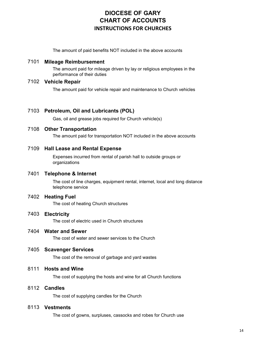The amount of paid benefits NOT included in the above accounts

#### 7101 **Mileage Reimbursement**

The amount paid for mileage driven by lay or religious employees in the performance of their duties

#### 7102 **Vehicle Repair**

The amount paid for vehicle repair and maintenance to Church vehicles

#### 7103 **Petroleum, Oil and Lubricants (POL)**

Gas, oil and grease jobs required for Church vehicle(s)

#### 7108 **Other Transportation**

The amount paid for transportation NOT included in the above accounts

#### 7109 **Hall Lease and Rental Expense**

Expenses incurred from rental of parish hall to outside groups or organizations

#### 7401 **Telephone & Internet**

The cost of line charges, equipment rental, internet, local and long distance telephone service

#### 7402 **Heating Fuel**

The cost of heating Church structures

#### 7403 **Electricity**

The cost of electric used in Church structures

#### 7404 **Water and Sewer**

The cost of water and sewer services to the Church

#### 7405 **Scavenger Services**

The cost of the removal of garbage and yard wastes

#### 8111 **Hosts and Wine**

The cost of supplying the hosts and wine for all Church functions

## 8112 **Candles**

The cost of supplying candles for the Church

#### 8113 **Vestments**

The cost of gowns, surpluses, cassocks and robes for Church use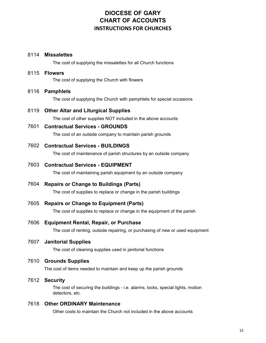#### 8114 **Missalettes**

The cost of supplying the missalettes for all Church functions

#### 8115 **Flowers**

The cost of supplying the Church with flowers

#### 8116 **Pamphlets**

The cost of supplying the Church with pamphlets for special occasions

- 8119 **Other Altar and Liturgical Supplies** The cost of other supplies NOT included in the above accounts
- 7601 **Contractual Services GROUNDS** The cost of an outside company to maintain parish grounds

#### 7602 **Contractual Services - BUILDINGS**

The cost of maintenance of parish structures by an outside company

#### 7603 **Contractual Services - EQUIPMENT**

The cost of maintaining parish equipment by an outside company

7604 **Repairs or Change to Buildings (Parts)**

The cost of supplies to replace or change in the parish buildings

#### 7605 **Repairs or Change to Equipment (Parts)**

The cost of supplies to replace or change in the equipment of the parish

#### 7606 **Equipment Rental, Repair, or Purchase**

The cost of renting, outside repairing, or purchasing of new or used equipment

#### 7607 **Janitorial Supplies**

The cost of cleaning supplies used in janitorial functions

#### 7610 **Grounds Supplies**

The cost of items needed to maintain and keep up the parish grounds

#### 7612 **Security**

The cost of securing the buildings - i.e. alarms, locks, special lights, motion detectors, etc.

#### 7618 **Other ORDINARY Maintenance**

Other costs to maintain the Church not included in the above accounts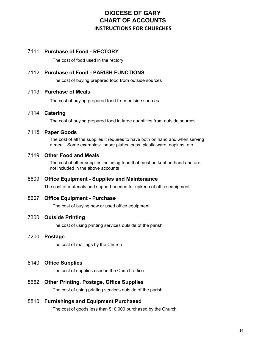## 7111 **Purchase of Food - RECTORY**

The cost of food used in the rectory

## 7112 **Purchase of Food - PARISH FUNCTIONS**

The cost of buying prepared food from outside sources

#### 7113 **Purchase of Meals**

The cost of buying prepared food from outside sources

#### 7114 **Catering**

The cost of buying prepared food in large quantities from outside sources

#### 7115 **Paper Goods**

The cost of all the supplies it requires to have both on hand and when serving a meal. Some examples: paper plates, cups, plastic ware, napkins, etc.

#### 7119 **Other Food and Meals**

The cost of other supplies including food that must be kept on hand and are not included in the above accounts

#### 8609 **Office Equipment - Supplies and Maintenance**

The cost of materials and support needed for upkeep of office equipment

#### 8607 **Office Equipment - Purchase**

The cost of buying new or used office equipment

#### 7300 **Outside Printing**

The cost of using printing services outside of the parish

#### 7200 **Postage**

The cost of mailings by the Church

#### 8140 **Office Supplies**

The cost of supplies used in the Church office

8662 **Other Printing, Postage, Office Supplies** The cost of using printing services outside of the parish

#### 8810 **Furnishings and Equipment Purchased**

The cost of goods less than \$10,000 purchased by the Church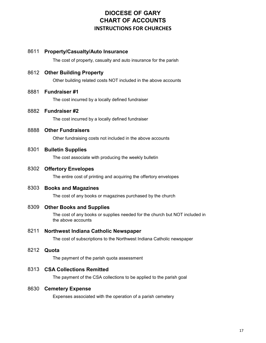#### 8611 **Property/Casualty/Auto Insurance**

The cost of property, casualty and auto insurance for the parish

#### 8612 **Other Building Property**

Other building related costs NOT included in the above accounts

#### 8881 **Fundraiser #1**

The cost incurred by a locally defined fundraiser

#### 8882 **Fundraiser #2**

The cost incurred by a locally defined fundraiser

#### 8888 **Other Fundraisers**

Other fundraising costs not included in the above accounts

#### 8301 **Bulletin Supplies**

The cost associate with producing the weekly bulletin

#### 8302 **Offertory Envelopes**

The entire cost of printing and acquiring the offertory envelopes

#### 8303 **Books and Magazines**

The cost of any books or magazines purchased by the church

#### 8309 **Other Books and Supplies**

The cost of any books or supplies needed for the church but NOT included in the above accounts

#### 8211 **Northwest Indiana Catholic Newspaper**

The cost of subscriptions to the Northwest Indiana Catholic newspaper

#### 8212 **Quota**

The payment of the parish quota assessment

#### 8313 **CSA Collections Remitted**

The payment of the CSA collections to be applied to the parish goal

#### 8630 **Cemetery Expense**

Expenses associated with the operation of a parish cemetery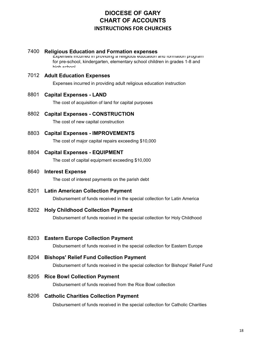#### 7400 **Religious Education and Formation expenses**

Expenses incurred in providing a religious education and formation program for pre-school, kindergarten, elementary school children in grades 1-8 and high school

#### 7012 **Adult Education Expenses**

Expenses incurred in providing adult religious education instruction

#### 8801 **Capital Expenses - LAND**

The cost of acquisition of land for capital purposes

#### 8802 **Capital Expenses - CONSTRUCTION**

The cost of new capital construction

8803 **Capital Expenses - IMPROVEMENTS**

The cost of major capital repairs exceeding \$10,000

#### 8804 **Capital Expenses - EQUIPMENT**

The cost of capital equipment exceeding \$10,000

#### 8640 **Interest Expense**

The cost of interest payments on the parish debt

8201 **Latin American Collection Payment**

Disbursement of funds received in the special collection for Latin America

#### 8202 **Holy Childhood Collection Payment**

Disbursement of funds received in the special collection for Holy Childhood

#### 8203 **Eastern Europe Collection Payment**

Disbursement of funds received in the special collection for Eastern Europe

## 8204 **Bishops' Relief Fund Collection Payment**

Disbursement of funds received in the special collection for Bishops' Relief Fund

8205 **Rice Bowl Collection Payment**

Disbursement of funds received from the Rice Bowl collection

## 8206 **Catholic Charities Collection Payment**

Disbursement of funds received in the special collection for Catholic Charities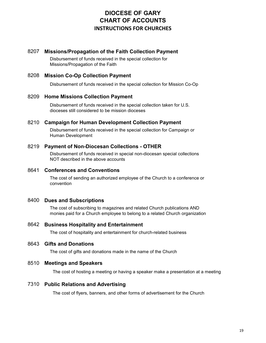#### 8207 **Missions/Propagation of the Faith Collection Payment**

Disbursement of funds received in the special collection for Missions/Propagation of the Faith

#### 8208 **Mission Co-Op Collection Payment**

Disbursement of funds received in the special collection for Mission Co-Op

#### 8209 **Home Missions Collection Payment**

Disbursement of funds received in the special collection taken for U.S. dioceses still considered to be mission dioceses

#### 8210 **Campaign for Human Development Collection Payment**

Disbursement of funds received in the special collection for Campaign or Human Development

#### 8219 **Payment of Non-Diocesan Collections - OTHER**

Disbursement of funds received in special non-diocesan special collections NOT described in the above accounts

#### 8641 **Conferences and Conventions**

The cost of sending an authorized employee of the Church to a conference or convention

#### 8400 **Dues and Subscriptions**

The cost of subscribing to magazines and related Church publications AND monies paid for a Church employee to belong to a related Church organization

#### 8642 **Business Hospitality and Entertainment**

The cost of hospitality and entertainment for church-related business

#### 8643 **Gifts and Donations**

The cost of gifts and donations made in the name of the Church

#### 8510 **Meetings and Speakers**

The cost of hosting a meeting or having a speaker make a presentation at a meeting

#### 7310 **Public Relations and Advertising**

The cost of flyers, banners, and other forms of advertisement for the Church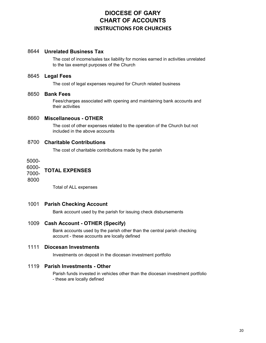#### 8644 **Unrelated Business Tax**

The cost of income/sales tax liability for monies earned in activities unrelated to the tax exempt purposes of the Church

#### 8645 **Legal Fees**

The cost of legal expenses required for Church related business

#### 8650 **Bank Fees**

Fees/charges associated with opening and maintaining bank accounts and their activities

#### 8660 **Miscellaneous - OTHER**

The cost of other expenses related to the operation of the Church but not included in the above accounts

#### 8700 **Charitable Contributions**

The cost of charitable contributions made by the parish

5000-

#### 6000- **TOTAL EXPENSES**

7000-

8000

Total of ALL expenses

#### 1001 **Parish Checking Account**

Bank account used by the parish for issuing check disbursements

#### 1009 **Cash Account - OTHER (Specify)**

Bank accounts used by the parish other than the central parish checking account - these accounts are locally defined

#### 1111 **Diocesan Investments**

Investments on deposit in the diocesan investment portfolio

#### 1119 **Parish Investments - Other**

Parish funds invested in vehicles other than the diocesan investment portfolio - these are locally defined